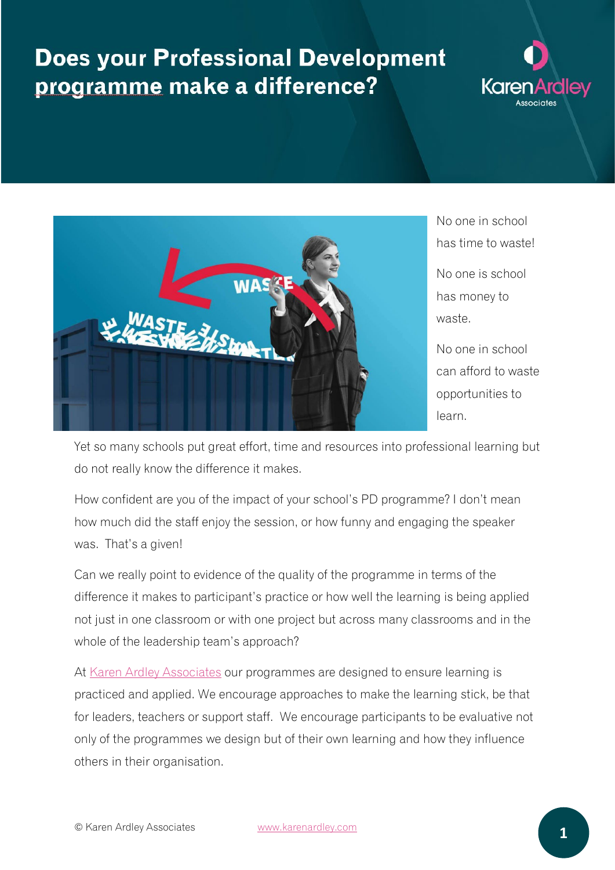## **Does your Professional Development** programme make a difference?





No one in school has time to waste!

No one is school has money to waste.

No one in school can afford to waste opportunities to learn.

Yet so many schools put great effort, time and resources into professional learning but do not really know the difference it makes.

How confident are you of the impact of your school's PD programme? I don't mean how much did the staff enjoy the session, or how funny and engaging the speaker was. That's a given!

Can we really point to evidence of the quality of the programme in terms of the difference it makes to participant's practice or how well the learning is being applied not just in one classroom or with one project but across many classrooms and in the whole of the leadership team's approach?

At [Karen Ardley Associates](https://karenardley.com/) our programmes are designed to ensure learning is practiced and applied. We encourage approaches to make the learning stick, be that for leaders, teachers or support staff. We encourage participants to be evaluative not only of the programmes we design but of their own learning and how they influence others in their organisation.